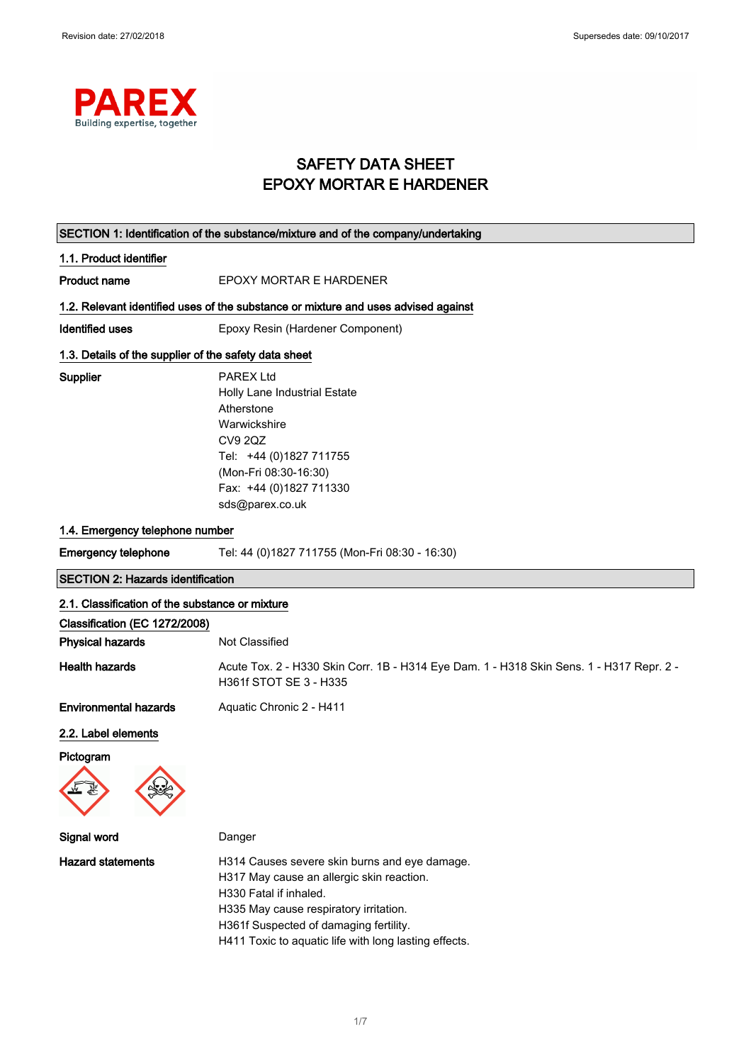

## SAFETY DATA SHEET EPOXY MORTAR E HARDENER

|                                                                                  | SECTION 1: Identification of the substance/mixture and of the company/undertaking                                                                                                                  |
|----------------------------------------------------------------------------------|----------------------------------------------------------------------------------------------------------------------------------------------------------------------------------------------------|
| 1.1. Product identifier                                                          |                                                                                                                                                                                                    |
| <b>Product name</b>                                                              | EPOXY MORTAR E HARDENER                                                                                                                                                                            |
|                                                                                  | 1.2. Relevant identified uses of the substance or mixture and uses advised against                                                                                                                 |
| <b>Identified uses</b>                                                           | Epoxy Resin (Hardener Component)                                                                                                                                                                   |
| 1.3. Details of the supplier of the safety data sheet                            |                                                                                                                                                                                                    |
| Supplier                                                                         | <b>PAREX Ltd</b><br>Holly Lane Industrial Estate<br>Atherstone<br>Warwickshire<br><b>CV9 2QZ</b><br>Tel: +44 (0)1827 711755<br>(Mon-Fri 08:30-16:30)<br>Fax: +44 (0)1827 711330<br>sds@parex.co.uk |
| 1.4. Emergency telephone number                                                  |                                                                                                                                                                                                    |
| <b>Emergency telephone</b>                                                       | Tel: 44 (0)1827 711755 (Mon-Fri 08:30 - 16:30)                                                                                                                                                     |
| <b>SECTION 2: Hazards identification</b>                                         |                                                                                                                                                                                                    |
| 2.1. Classification of the substance or mixture<br>Classification (EC 1272/2008) |                                                                                                                                                                                                    |
| <b>Physical hazards</b>                                                          | Not Classified                                                                                                                                                                                     |
| <b>Health hazards</b>                                                            | Acute Tox. 2 - H330 Skin Corr. 1B - H314 Eye Dam. 1 - H318 Skin Sens. 1 - H317 Repr. 2 -<br>H361f STOT SE 3 - H335                                                                                 |
| <b>Environmental hazards</b>                                                     | Aquatic Chronic 2 - H411                                                                                                                                                                           |
| 2.2. Label elements<br>Pictogram<br>$\overline{\mathbf{w}}$                      |                                                                                                                                                                                                    |
| Signal word                                                                      | Danger                                                                                                                                                                                             |
| <b>Hazard statements</b>                                                         | H314 Causes severe skin burns and eye damage.<br>H317 May cause an allergic skin reaction.<br>H330 Fatal if inhaled.                                                                               |

H335 May cause respiratory irritation. H361f Suspected of damaging fertility.

H411 Toxic to aquatic life with long lasting effects.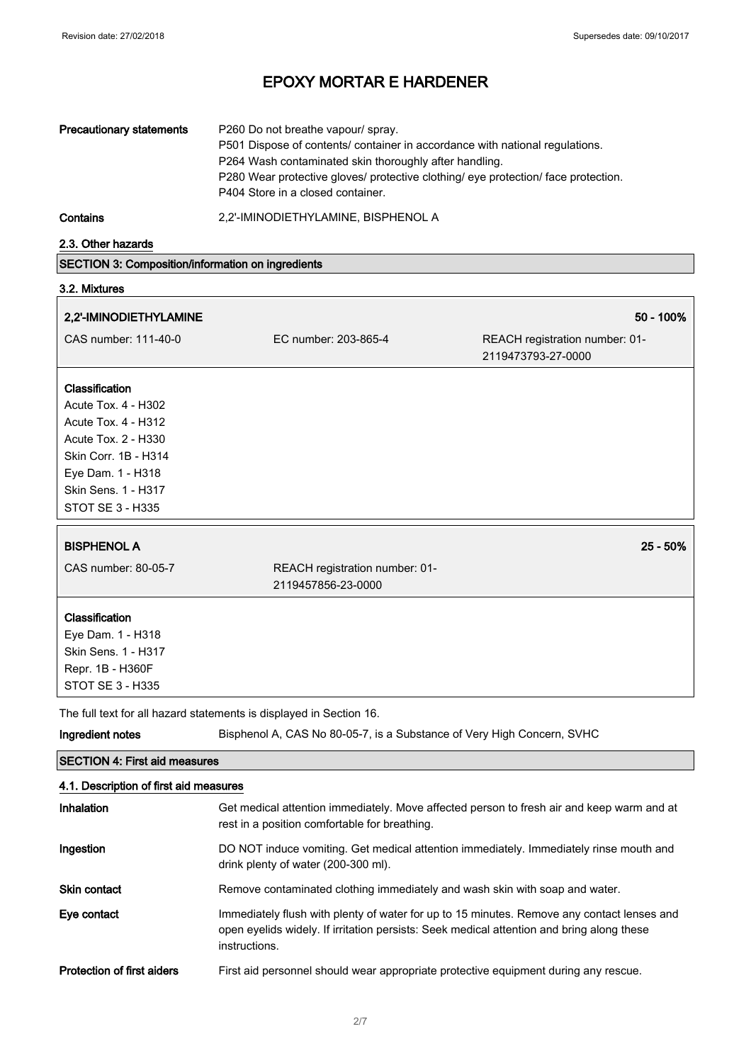| <b>Precautionary statements</b> | P260 Do not breathe vapour/ spray.<br>P501 Dispose of contents/ container in accordance with national regulations.<br>P264 Wash contaminated skin thoroughly after handling.<br>P280 Wear protective gloves/ protective clothing/ eye protection/ face protection.<br>P404 Store in a closed container. |
|---------------------------------|---------------------------------------------------------------------------------------------------------------------------------------------------------------------------------------------------------------------------------------------------------------------------------------------------------|
| Contains                        | 2,2'-IMINODIETHYLAMINE, BISPHENOL A                                                                                                                                                                                                                                                                     |

2.3. Other hazards

## SECTION 3: Composition/information on ingredients

## 3.2. Mixtures

| 2,2'-IMINODIETHYLAMINE | 50 - 100% |
|------------------------|-----------|
|------------------------|-----------|

| CAS number: 111-40-0  | EC number: 203-865-4 | REACH registration number: 01-<br>2119473793-27-0000 |
|-----------------------|----------------------|------------------------------------------------------|
|                       |                      |                                                      |
| <b>Classification</b> |                      |                                                      |
| Acute Tox. 4 - H302   |                      |                                                      |
| Acute Tox. 4 - H312   |                      |                                                      |
| Acute Tox. 2 - H330   |                      |                                                      |
| Skin Corr. 1B - H314  |                      |                                                      |

Eye Dam. 1 - H318 Skin Sens. 1 - H317 STOT SE 3 - H335

## BISPHENOL A 25 - 50%

CAS number: 80-05-7 REACH registration number: 01- 2119457856-23-0000

## **Classification**

Eye Dam. 1 - H318 Skin Sens. 1 - H317 Repr. 1B - H360F STOT SE 3 - H335

The full text for all hazard statements is displayed in Section 16.

| Ingredient notes                       | Bisphenol A, CAS No 80-05-7, is a Substance of Very High Concern, SVHC                                                                                                                                   |
|----------------------------------------|----------------------------------------------------------------------------------------------------------------------------------------------------------------------------------------------------------|
| <b>ISECTION 4: First aid measures</b>  |                                                                                                                                                                                                          |
| 4.1. Description of first aid measures |                                                                                                                                                                                                          |
| Inhalation                             | Get medical attention immediately. Move affected person to fresh air and keep warm and at<br>rest in a position comfortable for breathing.                                                               |
| Ingestion                              | DO NOT induce vomiting. Get medical attention immediately. Immediately rinse mouth and<br>drink plenty of water (200-300 ml).                                                                            |
| <b>Skin contact</b>                    | Remove contaminated clothing immediately and wash skin with soap and water.                                                                                                                              |
| Eye contact                            | Immediately flush with plenty of water for up to 15 minutes. Remove any contact lenses and<br>open eyelids widely. If irritation persists: Seek medical attention and bring along these<br>instructions. |
| Protection of first aiders             | First aid personnel should wear appropriate protective equipment during any rescue.                                                                                                                      |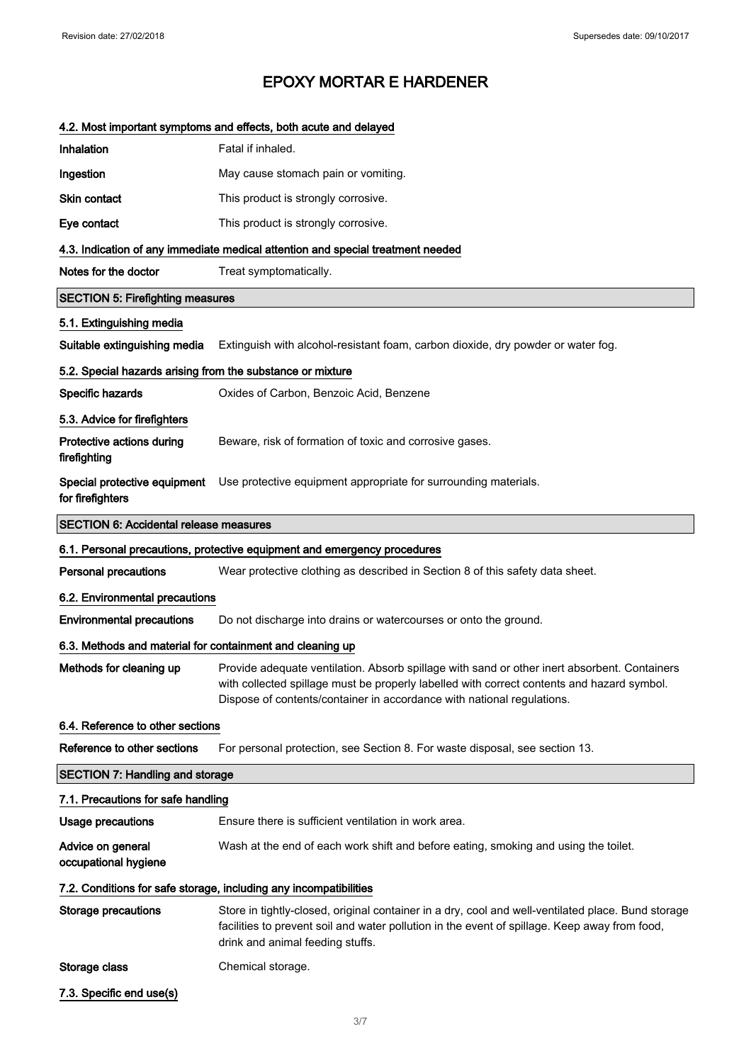## 4.2. Most important symptoms and effects, both acute and delayed

| Inhalation                                                 | Fatal if inhaled.                                                                                                                                                                                                                                                    |
|------------------------------------------------------------|----------------------------------------------------------------------------------------------------------------------------------------------------------------------------------------------------------------------------------------------------------------------|
| Ingestion                                                  | May cause stomach pain or vomiting.                                                                                                                                                                                                                                  |
| Skin contact                                               | This product is strongly corrosive.                                                                                                                                                                                                                                  |
| Eye contact                                                | This product is strongly corrosive.                                                                                                                                                                                                                                  |
|                                                            | 4.3. Indication of any immediate medical attention and special treatment needed                                                                                                                                                                                      |
| Notes for the doctor                                       | Treat symptomatically.                                                                                                                                                                                                                                               |
| <b>SECTION 5: Firefighting measures</b>                    |                                                                                                                                                                                                                                                                      |
| 5.1. Extinguishing media                                   |                                                                                                                                                                                                                                                                      |
| Suitable extinguishing media                               | Extinguish with alcohol-resistant foam, carbon dioxide, dry powder or water fog.                                                                                                                                                                                     |
| 5.2. Special hazards arising from the substance or mixture |                                                                                                                                                                                                                                                                      |
| Specific hazards                                           | Oxides of Carbon, Benzoic Acid, Benzene                                                                                                                                                                                                                              |
| 5.3. Advice for firefighters                               |                                                                                                                                                                                                                                                                      |
| Protective actions during<br>firefighting                  | Beware, risk of formation of toxic and corrosive gases.                                                                                                                                                                                                              |
| for firefighters                                           | Special protective equipment Use protective equipment appropriate for surrounding materials.                                                                                                                                                                         |
| <b>SECTION 6: Accidental release measures</b>              |                                                                                                                                                                                                                                                                      |
|                                                            | 6.1. Personal precautions, protective equipment and emergency procedures                                                                                                                                                                                             |
| <b>Personal precautions</b>                                | Wear protective clothing as described in Section 8 of this safety data sheet.                                                                                                                                                                                        |
| 6.2. Environmental precautions                             |                                                                                                                                                                                                                                                                      |
| <b>Environmental precautions</b>                           | Do not discharge into drains or watercourses or onto the ground.                                                                                                                                                                                                     |
| 6.3. Methods and material for containment and cleaning up  |                                                                                                                                                                                                                                                                      |
| Methods for cleaning up                                    | Provide adequate ventilation. Absorb spillage with sand or other inert absorbent. Containers<br>with collected spillage must be properly labelled with correct contents and hazard symbol.<br>Dispose of contents/container in accordance with national regulations. |
| 6.4. Reference to other sections                           |                                                                                                                                                                                                                                                                      |
| Reference to other sections                                | For personal protection, see Section 8. For waste disposal, see section 13.                                                                                                                                                                                          |
| <b>SECTION 7: Handling and storage</b>                     |                                                                                                                                                                                                                                                                      |
| 7.1. Precautions for safe handling                         |                                                                                                                                                                                                                                                                      |
| <b>Usage precautions</b>                                   | Ensure there is sufficient ventilation in work area.                                                                                                                                                                                                                 |
| Advice on general<br>occupational hygiene                  | Wash at the end of each work shift and before eating, smoking and using the toilet.                                                                                                                                                                                  |
|                                                            | 7.2. Conditions for safe storage, including any incompatibilities                                                                                                                                                                                                    |
| <b>Storage precautions</b>                                 | Store in tightly-closed, original container in a dry, cool and well-ventilated place. Bund storage<br>facilities to prevent soil and water pollution in the event of spillage. Keep away from food,<br>drink and animal feeding stuffs.                              |
| Storage class                                              | Chemical storage.                                                                                                                                                                                                                                                    |
| 7.3. Specific end use(s)                                   |                                                                                                                                                                                                                                                                      |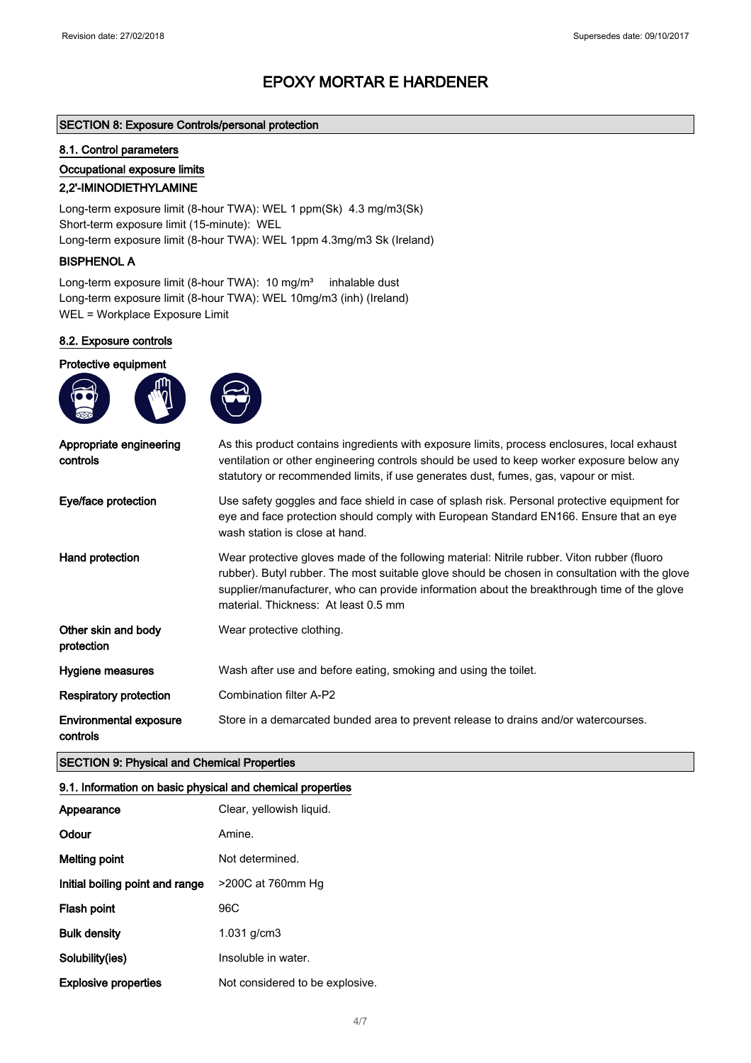## SECTION 8: Exposure Controls/personal protection

## 8.1. Control parameters

### Occupational exposure limits

## 2,2'-IMINODIETHYLAMINE

Long-term exposure limit (8-hour TWA): WEL 1 ppm(Sk) 4.3 mg/m3(Sk) Short-term exposure limit (15-minute): WEL Long-term exposure limit (8-hour TWA): WEL 1ppm 4.3mg/m3 Sk (Ireland)

## BISPHENOL A

Long-term exposure limit (8-hour TWA): 10 mg/m<sup>3</sup> inhalable dust Long-term exposure limit (8-hour TWA): WEL 10mg/m3 (inh) (Ireland) WEL = Workplace Exposure Limit

## 8.2. Exposure controls

### Protective equipment

| Appropriate engineering<br>controls       | As this product contains ingredients with exposure limits, process enclosures, local exhaust<br>ventilation or other engineering controls should be used to keep worker exposure below any<br>statutory or recommended limits, if use generates dust, fumes, gas, vapour or mist.                                                    |
|-------------------------------------------|--------------------------------------------------------------------------------------------------------------------------------------------------------------------------------------------------------------------------------------------------------------------------------------------------------------------------------------|
| Eye/face protection                       | Use safety goggles and face shield in case of splash risk. Personal protective equipment for<br>eye and face protection should comply with European Standard EN166. Ensure that an eye<br>wash station is close at hand.                                                                                                             |
| Hand protection                           | Wear protective gloves made of the following material: Nitrile rubber. Viton rubber (fluoro<br>rubber). Butyl rubber. The most suitable glove should be chosen in consultation with the glove<br>supplier/manufacturer, who can provide information about the breakthrough time of the glove<br>material. Thickness: At least 0.5 mm |
| Other skin and body<br>protection         | Wear protective clothing.                                                                                                                                                                                                                                                                                                            |
| Hygiene measures                          | Wash after use and before eating, smoking and using the toilet.                                                                                                                                                                                                                                                                      |
| <b>Respiratory protection</b>             | Combination filter A-P2                                                                                                                                                                                                                                                                                                              |
| <b>Environmental exposure</b><br>controls | Store in a demarcated bunded area to prevent release to drains and/or watercourses.                                                                                                                                                                                                                                                  |

## SECTION 9: Physical and Chemical Properties

## 9.1. Information on basic physical and chemical properties

| Appearance                      | Clear, yellowish liquid.        |
|---------------------------------|---------------------------------|
| Odour                           | Amine.                          |
| <b>Melting point</b>            | Not determined.                 |
| Initial boiling point and range | >200C at 760mm Hg               |
| Flash point                     | 96C                             |
| <b>Bulk density</b>             | $1.031$ g/cm $3$                |
| Solubility(ies)                 | Insoluble in water.             |
| <b>Explosive properties</b>     | Not considered to be explosive. |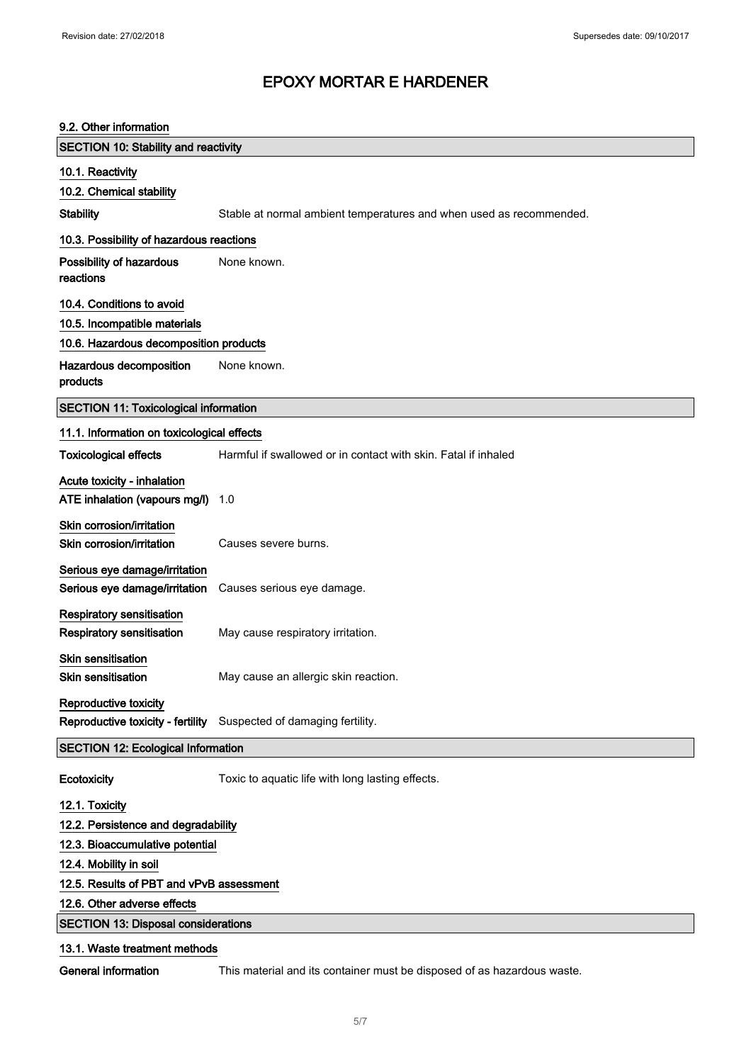| 9.2. Other information                                                  |                                                                         |
|-------------------------------------------------------------------------|-------------------------------------------------------------------------|
| <b>SECTION 10: Stability and reactivity</b>                             |                                                                         |
| 10.1. Reactivity                                                        |                                                                         |
| 10.2. Chemical stability                                                |                                                                         |
| <b>Stability</b>                                                        | Stable at normal ambient temperatures and when used as recommended.     |
| 10.3. Possibility of hazardous reactions                                |                                                                         |
| Possibility of hazardous<br>reactions                                   | None known.                                                             |
| 10.4. Conditions to avoid                                               |                                                                         |
| 10.5. Incompatible materials                                            |                                                                         |
| 10.6. Hazardous decomposition products                                  |                                                                         |
| Hazardous decomposition<br>products                                     | None known.                                                             |
| <b>SECTION 11: Toxicological information</b>                            |                                                                         |
| 11.1. Information on toxicological effects                              |                                                                         |
| <b>Toxicological effects</b>                                            | Harmful if swallowed or in contact with skin. Fatal if inhaled          |
| Acute toxicity - inhalation<br>ATE inhalation (vapours mg/l)            | 1.0                                                                     |
| Skin corrosion/irritation<br>Skin corrosion/irritation                  | Causes severe burns.                                                    |
| Serious eye damage/irritation<br>Serious eye damage/irritation          | Causes serious eye damage.                                              |
| <b>Respiratory sensitisation</b><br><b>Respiratory sensitisation</b>    | May cause respiratory irritation.                                       |
| <b>Skin sensitisation</b><br>Skin sensitisation                         | May cause an allergic skin reaction.                                    |
| Reproductive toxicity                                                   | Reproductive toxicity - fertility Suspected of damaging fertility.      |
| <b>SECTION 12: Ecological Information</b>                               |                                                                         |
| Ecotoxicity                                                             | Toxic to aquatic life with long lasting effects.                        |
| 12.1. Toxicity                                                          |                                                                         |
| 12.2. Persistence and degradability                                     |                                                                         |
| 12.3. Bioaccumulative potential                                         |                                                                         |
| 12.4. Mobility in soil                                                  |                                                                         |
| 12.5. Results of PBT and vPvB assessment<br>12.6. Other adverse effects |                                                                         |
| <b>SECTION 13: Disposal considerations</b>                              |                                                                         |
|                                                                         |                                                                         |
| 13.1. Waste treatment methods                                           |                                                                         |
| <b>General information</b>                                              | This material and its container must be disposed of as hazardous waste. |

### 5/ 7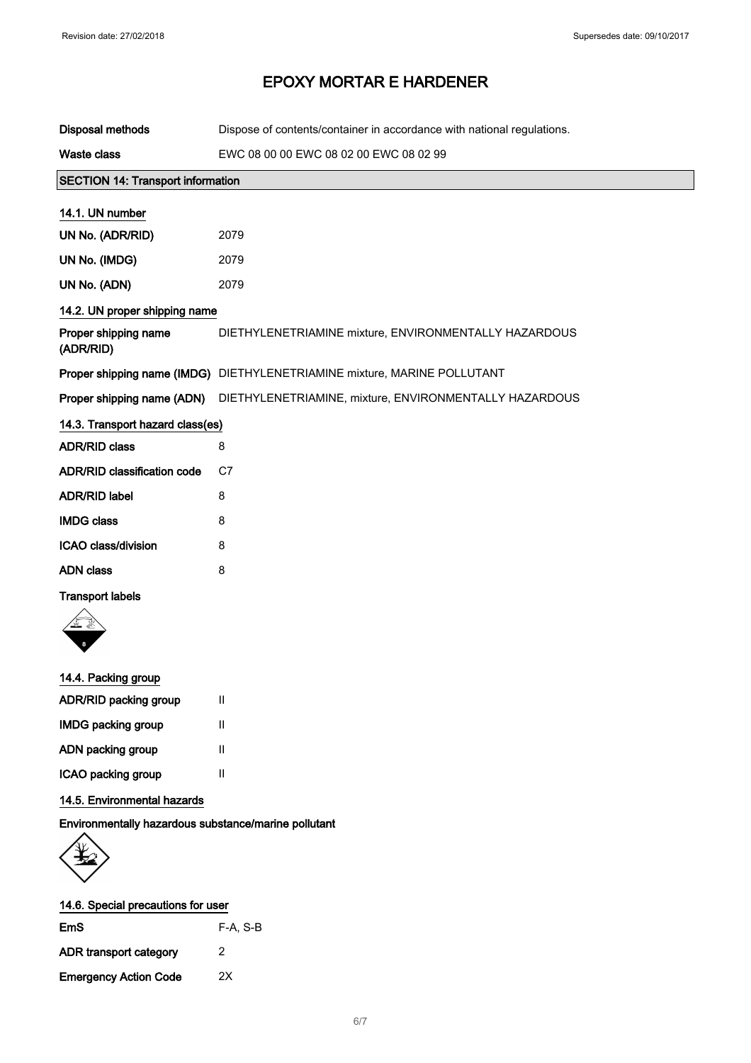| <b>Disposal methods</b>                              | Dispose of contents/container in accordance with national regulations.             |
|------------------------------------------------------|------------------------------------------------------------------------------------|
| <b>Waste class</b>                                   | EWC 08 00 00 EWC 08 02 00 EWC 08 02 99                                             |
| <b>SECTION 14: Transport information</b>             |                                                                                    |
| 14.1. UN number                                      |                                                                                    |
| UN No. (ADR/RID)                                     | 2079                                                                               |
| UN No. (IMDG)                                        | 2079                                                                               |
| UN No. (ADN)                                         | 2079                                                                               |
| 14.2. UN proper shipping name                        |                                                                                    |
| Proper shipping name<br>(ADR/RID)                    | DIETHYLENETRIAMINE mixture, ENVIRONMENTALLY HAZARDOUS                              |
|                                                      | Proper shipping name (IMDG) DIETHYLENETRIAMINE mixture, MARINE POLLUTANT           |
|                                                      | Proper shipping name (ADN)  DIETHYLENETRIAMINE, mixture, ENVIRONMENTALLY HAZARDOUS |
| 14.3. Transport hazard class(es)                     |                                                                                    |
| <b>ADR/RID class</b>                                 | 8                                                                                  |
| <b>ADR/RID classification code</b>                   | C7                                                                                 |
| <b>ADR/RID label</b>                                 | 8                                                                                  |
| <b>IMDG class</b>                                    | 8                                                                                  |
| ICAO class/division                                  | 8                                                                                  |
| <b>ADN</b> class                                     | 8                                                                                  |
| <b>Transport labels</b>                              |                                                                                    |
|                                                      |                                                                                    |
| 14.4. Packing group                                  |                                                                                    |
| ADR/RID packing group                                | $\mathbf{H}$                                                                       |
| <b>IMDG packing group</b>                            | Ш                                                                                  |
| ADN packing group                                    | Ш                                                                                  |
| ICAO packing group                                   | $\mathbf{H}$                                                                       |
| 14.5. Environmental hazards                          |                                                                                    |
| Environmentally hazardous substance/marine pollutant |                                                                                    |



| EmS                          | $F-A, S-B$ |
|------------------------------|------------|
| ADR transport category       | 2          |
| <b>Emergency Action Code</b> | 2x         |